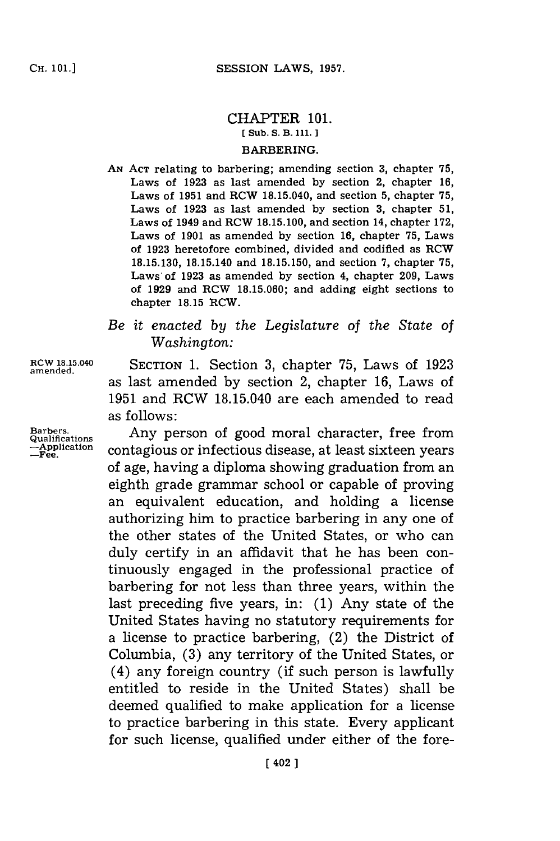## CHAPTER **101. [ Sub. S. B. 111. ]** BARBERING.

**AN~ ACT** relating to barbering; amending section **3,** chapter **75,** Laws of **1923** as last amended **by** section 2, chapter **16,** Laws of **1951** and ROW 18.15.040, and section **5,** chapter **75,** Laws of **1923** as last amended **by** section **3,** chapter **51,** Laws of 1949 and ROW **18.15.100,** and section 14, chapter **172,** Laws of **1901** as amended **by** section **16,** chapter **75,** Laws of **1923** heretofore combined, divided and codified as ROW **18.15.130,** 18.15.140 and **18.15.150,** and section **7,** chapter **75,** Laws of **1923** as amended **by** section 4, chapter **209,** Laws of **1929** and RCW **18.15.060;** and adding eight sections to chapter **18.15** ROW.

## *Be it enacted by the Legislature of the State of Washington:*

**amended.**

**RCW 18.15.040** SECTION **1.** Section **3,** chapter **75,** Laws of **1923** as last amended **by** section 2, chapter **16,** Laws of **1951** and RCW 18.15.040 are each amended to read as follows:

Barbers. **Any person of good moral character, free from qualification** contagious or infectious disease, at least sixteen vears contagious or infectious disease, at least sixteen years of age, having a diploma showing graduation from an eighth grade grammar school or capable of proving an equivalent education, and holding a license authorizing him to practice barbering in any one of the other states of the United States, or who can duly certify in an affidavit that he has been continuously engaged in the professional practice of barbering for not less than three years, within the last preceding five years, in: **(1)** Any state of the United States having no statutory requirements for a license to practice barbering, (2) the District of Columbia, **(3)** any territory of the United States, or (4) any foreign country (if such person is lawfully entitled to reside in the United States) shall be deemed qualified to make application for a license to practice barbering in this state. Every applicant for such license, qualified under either of the fore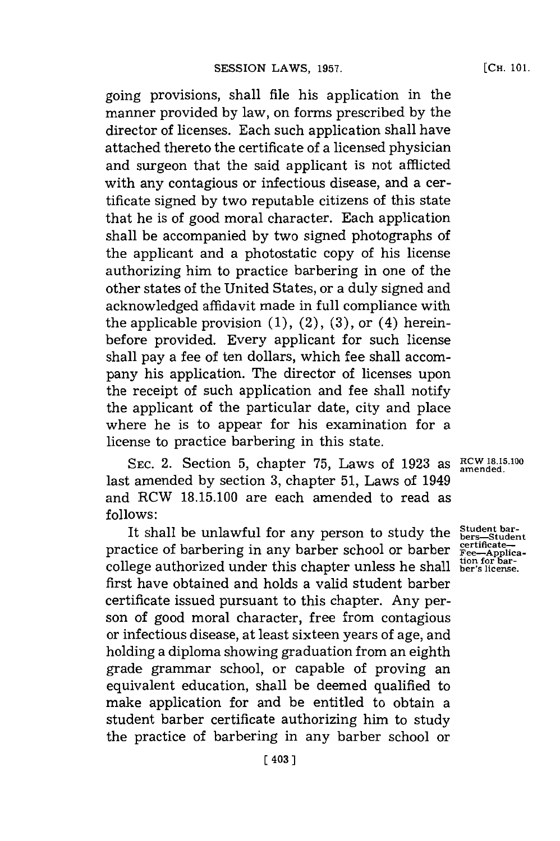going provisions, shall file his application in the manner provided **by** law, on forms prescribed **by** the director of licenses. Each such application shall have attached thereto the certificate of a licensed physician and surgeon that the said applicant is not afflicted with any contagious or infectious disease, and a certificate signed **by** two reputable citizens of this state that he is of good moral character. Each application shall be accompanied **by** two signed photographs of the applicant and a photostatic copy of his license authorizing him to practice barbering in one of the other states of the United States, or a duly signed and acknowledged affidavit made in full compliance with the applicable provision  $(1)$ ,  $(2)$ ,  $(3)$ , or  $(4)$  hereinbefore provided. Every applicant for such license shall pay a fee of ten dollars, which fee shall accompany his application. The director of licenses upon the receipt of such application and fee shall notify the applicant of the particular date, city and place where he is to appear for his examination for a license to practice barbering in this state.

SEC. 2. Section 5, chapter 75, Laws of 1923 as  $R<sup>CW 18.15.10</sup>$ last amended **by** section **3,** chapter **51,** Laws of 1949 and RCW **18.15.100** are each amended to read as **follows:**

It shall be unlawful for any person to study the practice of barbering in any barber school or barber college authorized under this chapter unless he shall first have obtained and holds a valid student barber certificate issued pursuant to this chapter. Any person of good moral character, free from contagious or infectious disease, at least sixteen years of age, and holding a diploma showing graduation from an eighth grade grammar school, or capable of proving an equivalent education, shall be deemed qualified to make application for and be entitled to obtain a student barber certificate authorizing him to study the practice of barbering in any barber school or

Student bar-<br>
bers—Studen<br>
certificate—<br> **Fee—Applica**<br>
tion for bar-<br>
ber's license.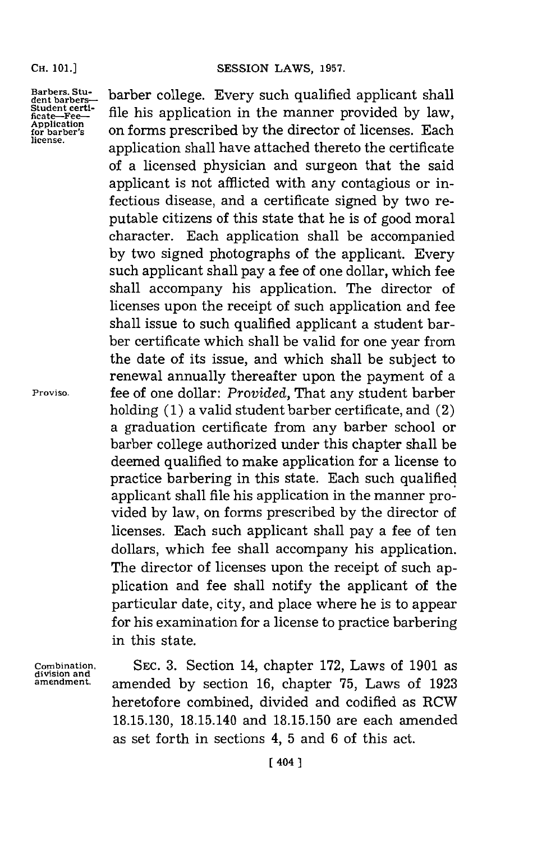**Barbers. Student barbers-Student certificate-Fee-Application for barber's license .**

**Proviso.**

**division and**

barber college. Every such qualified applicant shall file his application in the manner provided **by** law, on forms prescribed **by** the director of licenses. Each application shall have attached thereto the certificate of a licensed physician and surgeon that the said applicant is not afflicted with any contagious or infectious disease, and a certificate signed **by** two reputable citizens of this state that he is of good moral character. Each application shall be accompanied **by** two signed photographs of the applicant. Every such applicant shall pay a fee of one dollar, which fee shall accompany his application. The director of licenses upon the receipt of such application and fee shall issue to such qualified applicant a student barber certificate which shall be valid for one year from the date of its issue, and which shall be subject to renewal annually thereafter upon the payment of a fee of one dollar: *Provided,* That any student barber holding **(1)** a valid student barber certificate, and (2) a graduation certificate from any barber school or barber college authorized under this chapter shall be deemed qualified to make application for a license to practice barbering in this state. Each such qualified applicant shall file his application in the manner provided **by** law, on forms prescribed **by** the director of licenses. Each such applicant shall pay a fee of ten dollars, which fee shall accompany his application. The director of licenses upon the receipt of such application and fee shall notify the applicant of the particular date, city, and place where he is to appear for his examination for a license to practice barbering in this state.

**Combination, SEC. 3.** Section 14, chapter **172,** Laws of **1901** as **amendment,** amended **by** section **16,** chapter **75,** Laws of **1923** heretofore combined, divided and codified as RCW **18.15.130,** 18.15.140 and **18.15.150** are each amended as set forth in sections 4, **5** and **6** of this act.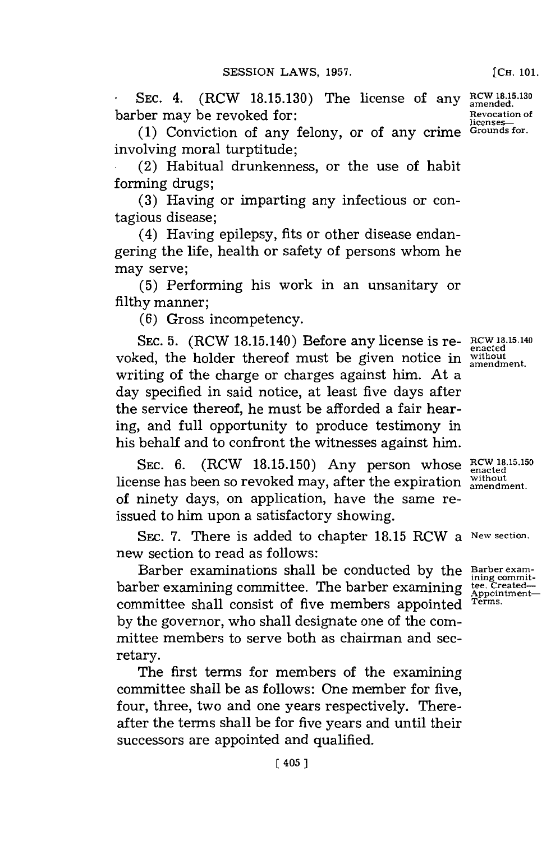SEC. 4. (RCW 18.15.130) The license of any RCW 18.15.130 barber may be revoked for: **Revocation of**  $R$ evocation of

licenses—<br>Grounds for. **(1)** Conviction of any felony, or of any crime **Grounds for.** involving moral turptitude;

(2) Habitual drunkenness, or the use of habit forming drugs;

**(3)** Having or imparting any infectious or contagious disease;

(4) Having epilepsy, fits or other disease endangering the life, health or safety of persons whom he may serve;

**(5)** Performing his work in an unsanitary or filthy manner;

**(6)** Gross incompetency.

**SEC. 5.** (RCW 18.15.140) Before any license is re- **RCW 18.15.140 enacted** voked, the holder thereof must be given notice in without writing of the charge or charges against him. At a day specified in said notice, at least five days after the service thereof, he must be afforded a fair hearing, and full opportunity to produce testimony in his behalf and to confront the witnesses against him.

SEC. 6. (RCW 18.15.150) Any person whose  $RCW$  18.15.150 license has been so revoked may, after the expiration  $\frac{\text{without}}{\text{amendment}}$ of ninety days, on application, have the same reissued to him upon a satisfactory showing.

SEC. **7.** There is added to chapter **18.15** RCW a **New section.** new section to read as follows:

Barber examinations shall be conducted by the **Barber examinity**<br>ther examining committee The barber examining tee Created barber examining committee. The barber examining **tee. Created**committee shall consist of five members appointed **by** the governor, who shall designate one of the committee members to serve both as chairman and secretary.

The first terms for members of the examining committee shall be as follows: One member for five, four, three, two and one years respectively. Thereafter the terms shall be for five years and until their successors are appointed and qualified.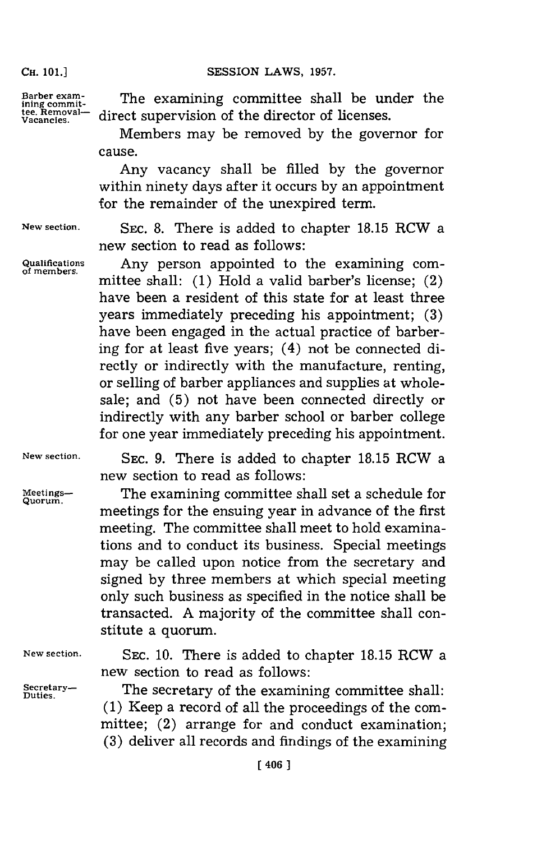## **SESSION LAWS, 1957.**

**CH. 101.]**

Barber exam-<br>ining commit- The examining committee shall be **under** th Ining commit.<br>tee. Removal— direct supervision of the director of licenses.<br>Vacancies.

> Members may be removed **by** the governor for cause.

> Any vacancy shall be filled **by** the governor within ninety days after it occurs **by** an appointment for the remainder of the unexpired term.

**of members.**

**New section. SEC. 8.** There is added to chapter **18.15** RCW a new section to read as follows:

**Qualifications** Any person appointed to the examining committee shall: **(1)** Hold a valid barber's license; (2) have been a resident of this state for at least three years immediately preceding his appointment; **(3)** have been engaged in the actual practice of barbering for at least five years; (4) not be connected directly or indirectly with the manufacture, renting, or selling of barber appliances and supplies at wholesale; and **(5)** not have been connected directly or indirectly with any barber school or barber college for one year immediately preceding his appointment.

**Quorum.**

**New section. SEC. 9.** There is added to chapter **18.15** RCW a new section to read as follows:

**Meetings--** The examining committee shall set a schedule for meetings for the ensuing year in advance of the first meeting. The committee shall meet to hold examinations and to conduct its business. Special meetings may be called upon notice from the secretary and signed **by** three members at which special meeting only such business as specified in the notice shall be transacted. **A** majority of the committee shall constitute a quorum.

**New section. SEC. 10.** There is added to chapter **18.15** RCW a new section to read as follows:

Secretary- **The secretary of the examining committee shall:** Duties. **(1)** Keep a record of all the proceedings of the committee; (2) arrange for and conduct examination; **(3)** deliver all records and findings of the examining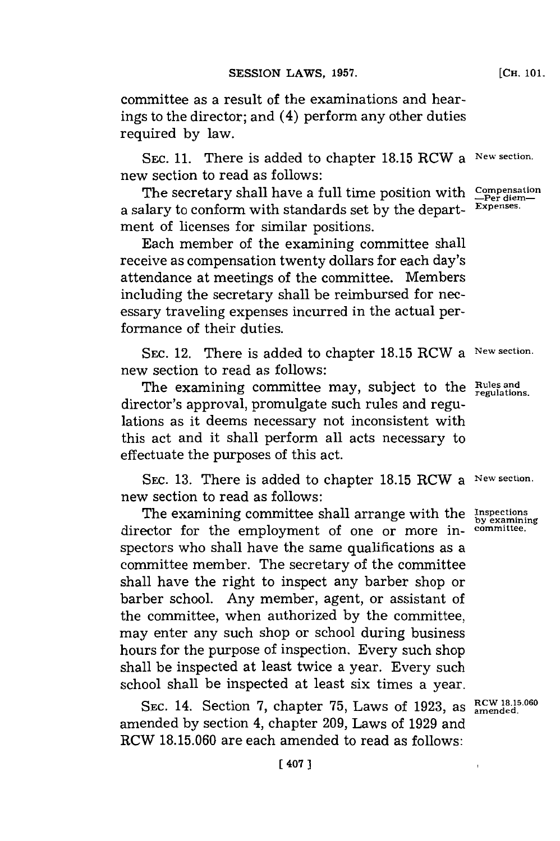committee as a result of the examinations and hearings to the director; and (4) perform any other duties required **by** law.

**SEC. 11.** There is added to chapter **18.15** RCW a **New section.** new section to read as follows:

The secretary shall have a full time position with  $\frac{\text{Compenisation}}{\text{Per diem}}$ a salary to conform with standards set **by** the depart- **Expenses.** ment of licenses for similar positions.

Each member of the examining committee shall receive as compensation twenty dollars for each day's attendance at meetings of the committee. Members including the secretary shall be reimbursed for necessary traveling expenses incurred in the actual performance of their duties.

**SEC.** 12. There is added to chapter **18.15** RCW a **New section.** new section to read as follows:

The examining committee may, subject to the **Rules** and director's approval, promulgate such rules and regulations as it deems necessary not inconsistent with this act and it shall perform all acts necessary to effectuate the purposes of this act.

**SEC. 13.** There is added to chapter **18.15** RCW a **New section.** new section to read as follows:

The examining committee shall arrange with the **Inspections** director for the employment of one or more inspectors who shall have the same qualifications as a committee member. The secretary of the committee shall have the right to inspect any barber shop or barber school. Any member, agent, or assistant of the committee, when authorized **by** the committee, may enter any such shop or school during business hours **for** the purpose of inspection, Every such shop shall be inspected at least twice a year. Every such school shall be inspected at least six times a year.

SEC. 14. Section 7, chapter 75, Laws of 1923, as  $\frac{RCW18,15,060}{\text{amended}}$ amended **by** section 4, chapter **209,** Laws of **1929** and RCW **18.15.060** are each amended to read as follows:

**by examining**